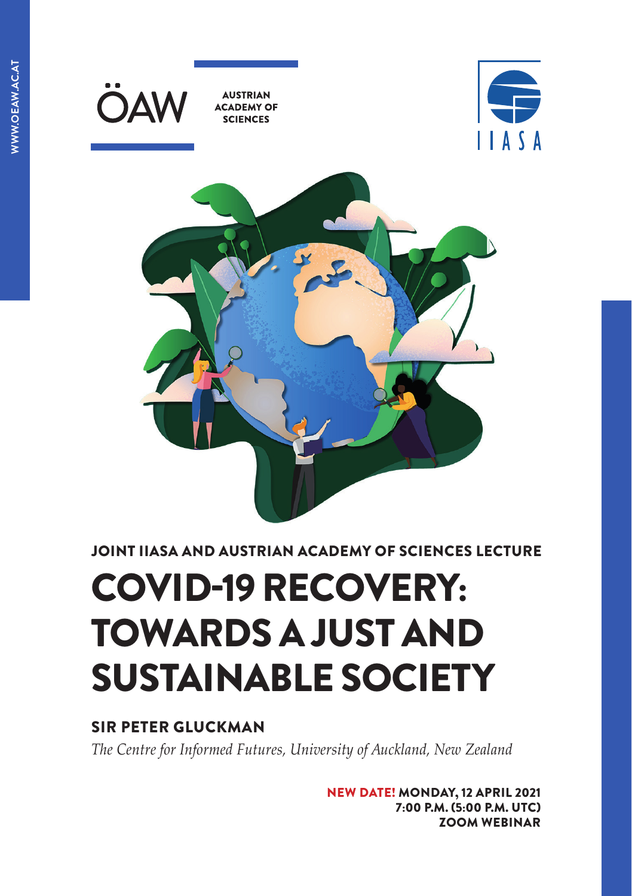

JOINT IIASA AND AUSTRIAN ACADEMY OF SCIENCES LECTURE

# COVID-19 RECOVERY: TOWARDS A JUST AND SUSTAINABLE SOCIETY

### SIR PETER GLUCKMAN

*The Centre for Informed Futures, University of Auckland, New Zealand* 

NEW DATE! MONDAY, 12 APRIL 2021 7:00 P.M. (5:00 P.M. UTC) [ZOOM WEBINAR](https://iiasa.ac.at/web/home/about/events/IIASA-OeAW-Joint-Lecture-March2021.html )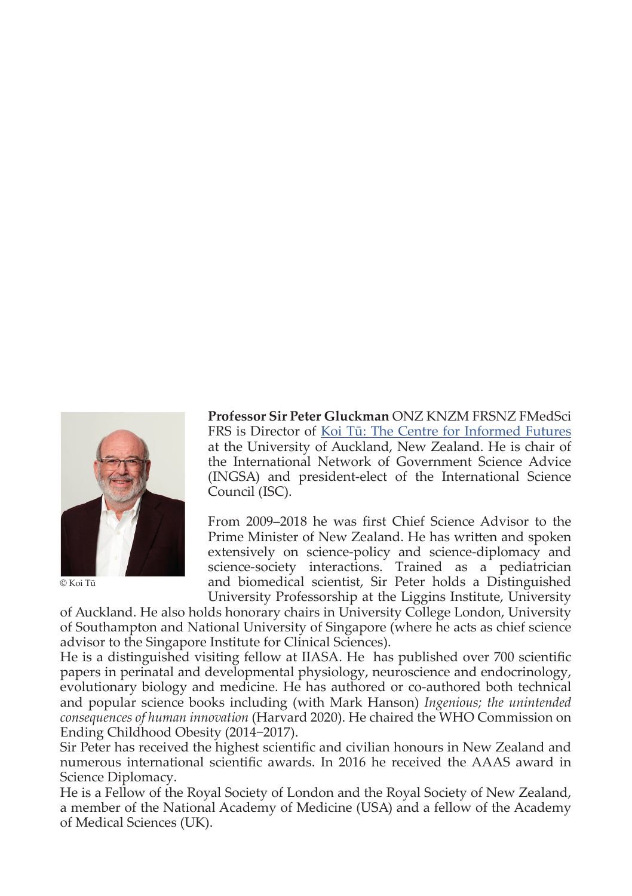

© Koi Tū

**Professor Sir Peter Gluckman** ONZ KNZM FRSNZ FMedSci FRS is Director of [Koi Tū: The Centre for Informed Futures](https://informedfutures.org/) at the University of Auckland, New Zealand. He is chair of the International Network of Government Science Advice (INGSA) and president-elect of the International Science Council (ISC).

From 2009–2018 he was first Chief Science Advisor to the Prime Minister of New Zealand. He has written and spoken extensively on science-policy and science-diplomacy and science-society interactions. Trained as a pediatrician and biomedical scientist, Sir Peter holds a Distinguished University Professorship at the Liggins Institute, University

of Auckland. He also holds honorary chairs in University College London, University of Southampton and National University of Singapore (where he acts as chief science advisor to the Singapore Institute for Clinical Sciences).

He is a distinguished visiting fellow at IIASA. He has published over 700 scientific papers in perinatal and developmental physiology, neuroscience and endocrinology, evolutionary biology and medicine. He has authored or co-authored both technical and popular science books including (with Mark Hanson) *Ingenious; the unintended consequences of human innovation* (Harvard 2020). He chaired the WHO Commission on Ending Childhood Obesity (2014−2017).

Sir Peter has received the highest scientific and civilian honours in New Zealand and numerous international scientific awards. In 2016 he received the AAAS award in Science Diplomacy.

He is a Fellow of the Royal Society of London and the Royal Society of New Zealand, a member of the National Academy of Medicine (USA) and a fellow of the Academy of Medical Sciences (UK).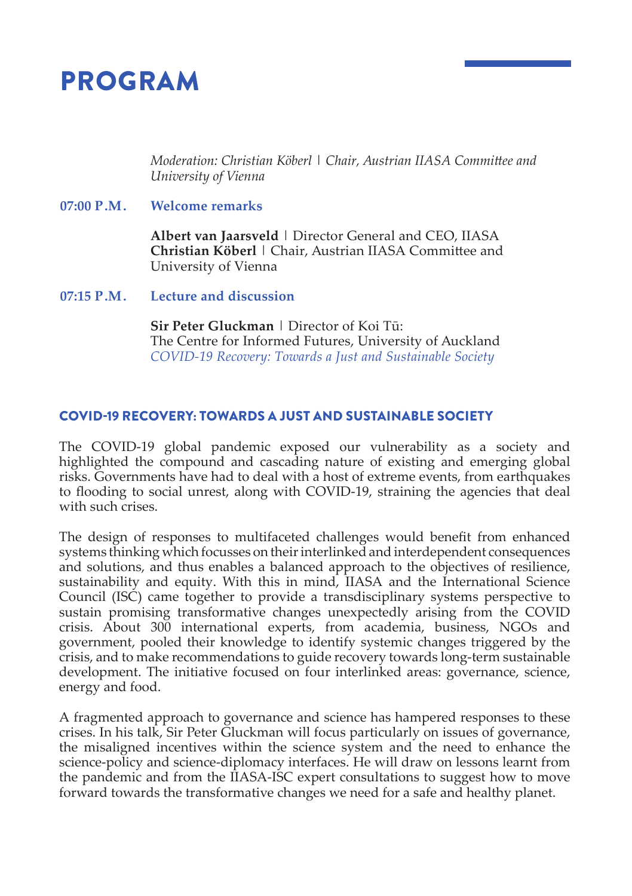## PROGRAM

 *Moderation: Christian Köberl | Chair, Austrian IIASA Committee and University of Vienna*

#### **07:00 P.M. Welcome remarks**

 **Albert van Jaarsveld** | Director General and CEO, IIASA **Christian Köberl** | Chair, Austrian IIASA Committee and University of Vienna

**07:15 P.M. Lecture and discussion**

 **Sir Peter Gluckman** | Director of Koi Tū: The Centre for Informed Futures, University of Auckland *COVID-19 Recovery: Towards a Just and Sustainable Society*

#### COVID-19 RECOVERY: TOWARDS A JUST AND SUSTAINABLE SOCIETY

The COVID-19 global pandemic exposed our vulnerability as a society and highlighted the compound and cascading nature of existing and emerging global risks. Governments have had to deal with a host of extreme events, from earthquakes to flooding to social unrest, along with COVID-19, straining the agencies that deal with such crises.

The design of responses to multifaceted challenges would benefit from enhanced systems thinking which focusses on their interlinked and interdependent consequences and solutions, and thus enables a balanced approach to the objectives of resilience, sustainability and equity. With this in mind, IIASA and the International Science Council (ISC) came together to provide a transdisciplinary systems perspective to sustain promising transformative changes unexpectedly arising from the COVID crisis. About 300 international experts, from academia, business, NGOs and government, pooled their knowledge to identify systemic changes triggered by the crisis, and to make recommendations to guide recovery towards long-term sustainable development. The initiative focused on four interlinked areas: governance, science, energy and food.

A fragmented approach to governance and science has hampered responses to these crises. In his talk, Sir Peter Gluckman will focus particularly on issues of governance, the misaligned incentives within the science system and the need to enhance the science-policy and science-diplomacy interfaces. He will draw on lessons learnt from the pandemic and from the IIASA-ISC expert consultations to suggest how to move forward towards the transformative changes we need for a safe and healthy planet.